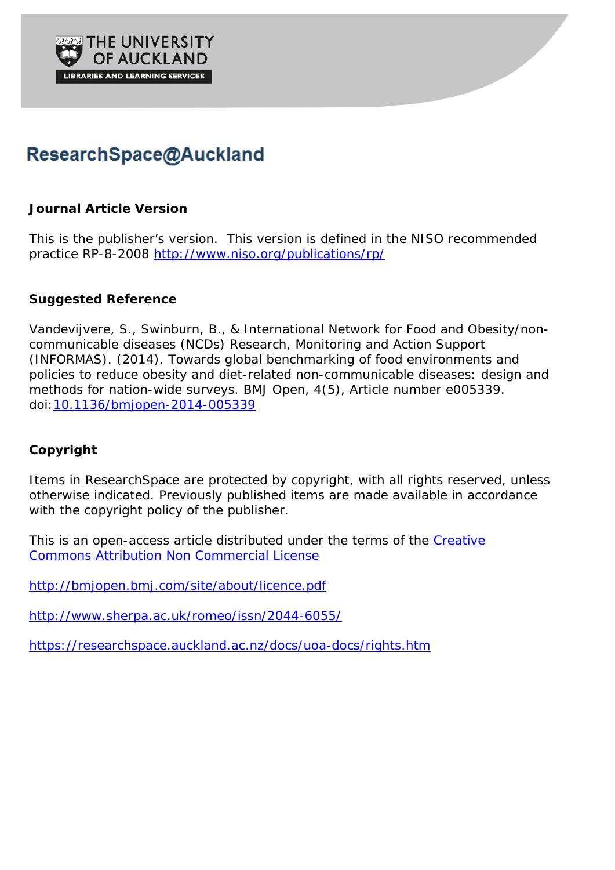

# ResearchSpace@Auckland

# **Journal Article Version**

This is the publisher's version. This version is defined in the NISO recommended practice RP-8-2008 <http://www.niso.org/publications/rp/>

## **Suggested Reference**

Vandevijvere, S., Swinburn, B., & International Network for Food and Obesity/noncommunicable diseases (NCDs) Research, Monitoring and Action Support (INFORMAS). (2014). Towards global benchmarking of food environments and policies to reduce obesity and diet-related non-communicable diseases: design and methods for nation-wide surveys. *BMJ Open*, 4(5), Article number e005339. doi[:10.1136/bmjopen-2014-005339](http://dx.doi.org/10.1136/bmjopen-2014-005339)

## **Copyright**

Items in ResearchSpace are protected by copyright, with all rights reserved, unless otherwise indicated. Previously published items are made available in accordance with the copyright policy of the publisher.

This is an open-access article distributed under the terms of the Creative [Commons Attribution Non Commercial License](http://creativecommons.org/licenses/by-nc/3.0/)

<http://bmjopen.bmj.com/site/about/licence.pdf>

<http://www.sherpa.ac.uk/romeo/issn/2044-6055/>

<https://researchspace.auckland.ac.nz/docs/uoa-docs/rights.htm>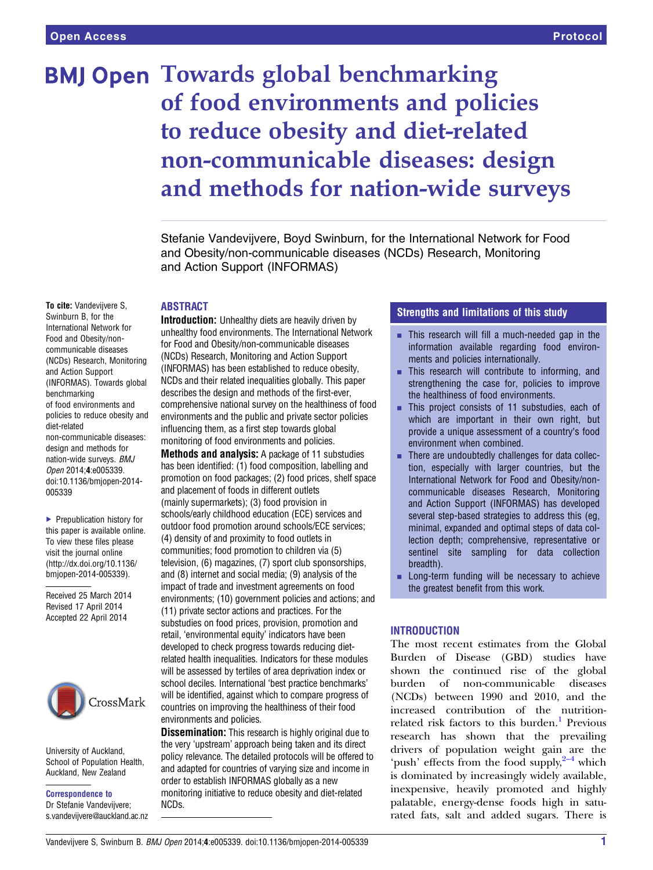# **BMJ Open Towards global benchmarking** of food environments and policies to reduce obesity and diet-related non-communicable diseases: design and methods for nation-wide surveys

Stefanie Vandevijvere, Boyd Swinburn, for the International Network for Food and Obesity/non-communicable diseases (NCDs) Research, Monitoring and Action Support (INFORMAS)

#### ABSTRACT

To cite: Vandevijvere S, Swinburn B, for the International Network for Food and Obesity/noncommunicable diseases (NCDs) Research, Monitoring and Action Support (INFORMAS). Towards global benchmarking of food environments and policies to reduce obesity and diet-related non-communicable diseases: design and methods for nation-wide surveys. BMJ Open 2014;4:e005339. doi:10.1136/bmjopen-2014- 005339

▶ Prepublication history for this paper is available online. To view these files please visit the journal online [\(http://dx.doi.org/10.1136/](http://dx.doi.org/10.1136/bmjopen-2014-005339) [bmjopen-2014-005339](http://dx.doi.org/10.1136/bmjopen-2014-005339)).

Received 25 March 2014 Revised 17 April 2014 Accepted 22 April 2014



University of Auckland, School of Population Health, Auckland, New Zealand

Correspondence to

Dr Stefanie Vandevijvere; s.vandevijvere@auckland.ac.nz

**Introduction:** Unhealthy diets are heavily driven by unhealthy food environments. The International Network for Food and Obesity/non-communicable diseases (NCDs) Research, Monitoring and Action Support (INFORMAS) has been established to reduce obesity, NCDs and their related inequalities globally. This paper describes the design and methods of the first-ever, comprehensive national survey on the healthiness of food environments and the public and private sector policies influencing them, as a first step towards global monitoring of food environments and policies.

Methods and analysis: A package of 11 substudies has been identified: (1) food composition, labelling and promotion on food packages; (2) food prices, shelf space and placement of foods in different outlets (mainly supermarkets); (3) food provision in schools/early childhood education (ECE) services and outdoor food promotion around schools/ECE services; (4) density of and proximity to food outlets in communities; food promotion to children via (5) television, (6) magazines, (7) sport club sponsorships, and (8) internet and social media; (9) analysis of the impact of trade and investment agreements on food environments; (10) government policies and actions; and (11) private sector actions and practices. For the substudies on food prices, provision, promotion and retail, 'environmental equity' indicators have been developed to check progress towards reducing dietrelated health inequalities. Indicators for these modules will be assessed by tertiles of area deprivation index or school deciles. International 'best practice benchmarks' will be identified, against which to compare progress of countries on improving the healthiness of their food environments and policies.

**Dissemination:** This research is highly original due to the very 'upstream' approach being taken and its direct policy relevance. The detailed protocols will be offered to and adapted for countries of varying size and income in order to establish INFORMAS globally as a new monitoring initiative to reduce obesity and diet-related NCDs.

#### Strengths and limitations of this study

- $\blacksquare$  This research will fill a much-needed gap in the information available regarding food environments and policies internationally.
- $\blacksquare$  This research will contribute to informing, and strengthening the case for, policies to improve the healthiness of food environments.
- **This project consists of 11 substudies, each of** which are important in their own right, but provide a unique assessment of a country's food environment when combined.
- There are undoubtedly challenges for data collection, especially with larger countries, but the International Network for Food and Obesity/noncommunicable diseases Research, Monitoring and Action Support (INFORMAS) has developed several step-based strategies to address this (eg, minimal, expanded and optimal steps of data collection depth; comprehensive, representative or sentinel site sampling for data collection breadth).
- Long-term funding will be necessary to achieve the greatest benefit from this work.

#### **INTRODUCTION**

The most recent estimates from the Global Burden of Disease (GBD) studies have shown the continued rise of the global burden of non-communicable diseases (NCDs) between 1990 and 2010, and the increased contribution of the nutrition-related risk factors to this burden.<sup>[1](#page-8-0)</sup> Previous research has shown that the prevailing drivers of population weight gai[n a](#page-8-0)re the 'push' effects from the food supply, $2-4$  which is dominated by increasingly widely available, inexpensive, heavily promoted and highly palatable, energy-dense foods high in saturated fats, salt and added sugars. There is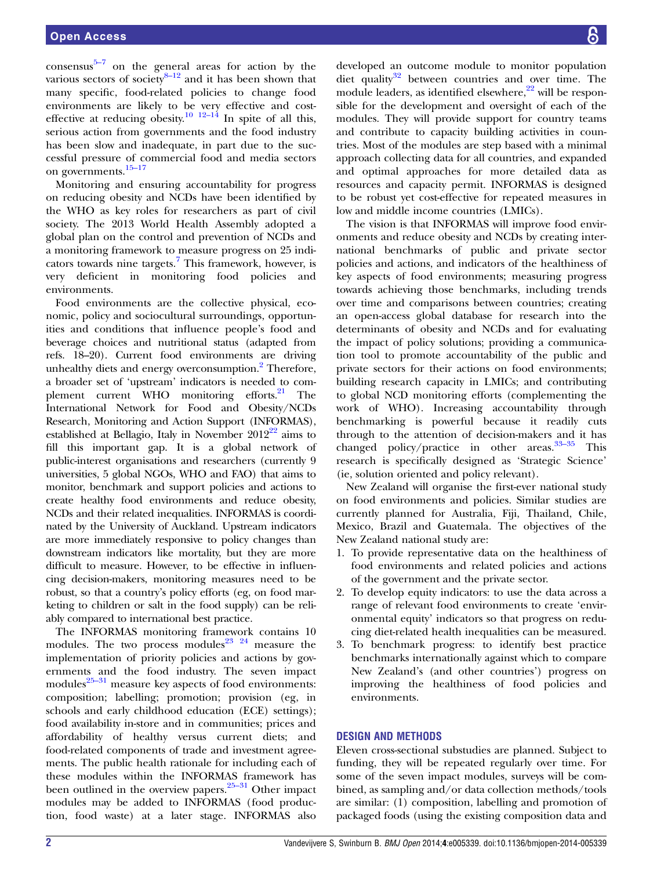$consensus<sup>5-7</sup>$  $consensus<sup>5-7</sup>$  $consensus<sup>5-7</sup>$  on the general areas for action by the various sectors of society $8-12$  $8-12$  and it has been shown that many specific, food-related policies to change food environments are likely to be very effective and costeffective at reducing obesity.<sup>10</sup> <sup>12–14</sup> In spite of all this, serious action from governments and the food industry has been slow and inadequate, in part due to the successful pressure of commercial food and media sectors on governments.<sup>[15](#page-9-0)–17</sup>

Monitoring and ensuring accountability for progress on reducing obesity and NCDs have been identified by the WHO as key roles for researchers as part of civil society. The 2013 World Health Assembly adopted a global plan on the control and prevention of NCDs and a monitoring framework to measure progress on 25 indicators towards nine targets[.7](#page-9-0) This framework, however, is very deficient in monitoring food policies and environments.

Food environments are the collective physical, economic, policy and sociocultural surroundings, opportunities and conditions that influence people's food and beverage choices and nutritional status (adapted from refs. 18–20). Current food environments are driving unhealthy diets and energy overconsumption.<sup>2</sup> Therefore, a broader set of 'upstream' indicators is needed to complement current WHO monitoring efforts.<sup>21</sup> The International Network for Food and Obesity/NCDs Research, Monitoring and Action Support (INFORMAS), established at Bellagio, Italy in November  $2012^{22}$  aims to fill this important gap. It is a global network of public-interest organisations and researchers (currently 9 universities, 5 global NGOs, WHO and FAO) that aims to monitor, benchmark and support policies and actions to create healthy food environments and reduce obesity, NCDs and their related inequalities. INFORMAS is coordinated by the University of Auckland. Upstream indicators are more immediately responsive to policy changes than downstream indicators like mortality, but they are more difficult to measure. However, to be effective in influencing decision-makers, monitoring measures need to be robust, so that a country's policy efforts (eg, on food marketing to children or salt in the food supply) can be reliably compared to international best practice.

The INFORMAS monitoring framework contains 10 modules. The two process modules<sup>23</sup>  $24$  measure the implementation of priority policies and actions by governments and the food industry. The seven impact modules $^{25-31}$  $^{25-31}$  $^{25-31}$  measure key aspects of food environments: composition; labelling; promotion; provision (eg, in schools and early childhood education (ECE) settings); food availability in-store and in communities; prices and affordability of healthy versus current diets; and food-related components of trade and investment agreements. The public health rationale for including each of these modules within the INFORMAS framework has been outlined in the overview papers. $25-31$  $25-31$  Other impact modules may be added to INFORMAS (food production, food waste) at a later stage. INFORMAS also

developed an outcome module to monitor population diet quality $32$  between countries and over time. The module leaders, as identified elsewhere, $22$  will be responsible for the development and oversight of each of the modules. They will provide support for country teams and contribute to capacity building activities in countries. Most of the modules are step based with a minimal approach collecting data for all countries, and expanded and optimal approaches for more detailed data as resources and capacity permit. INFORMAS is designed to be robust yet cost-effective for repeated measures in low and middle income countries (LMICs).

The vision is that INFORMAS will improve food environments and reduce obesity and NCDs by creating international benchmarks of public and private sector policies and actions, and indicators of the healthiness of key aspects of food environments; measuring progress towards achieving those benchmarks, including trends over time and comparisons between countries; creating an open-access global database for research into the determinants of obesity and NCDs and for evaluating the impact of policy solutions; providing a communication tool to promote accountability of the public and private sectors for their actions on food environments; building research capacity in LMICs; and contributing to global NCD monitoring efforts (complementing the work of WHO). Increasing accountability through benchmarking is powerful because it readily cuts through to the attention of decision-makers and it has changed policy/practice in other areas.<sup>33-[35](#page-9-0)</sup> This research is specifically designed as 'Strategic Science' (ie, solution oriented and policy relevant).

New Zealand will organise the first-ever national study on food environments and policies. Similar studies are currently planned for Australia, Fiji, Thailand, Chile, Mexico, Brazil and Guatemala. The objectives of the New Zealand national study are:

- 1. To provide representative data on the healthiness of food environments and related policies and actions of the government and the private sector.
- 2. To develop equity indicators: to use the data across a range of relevant food environments to create 'environmental equity' indicators so that progress on reducing diet-related health inequalities can be measured.
- 3. To benchmark progress: to identify best practice benchmarks internationally against which to compare New Zealand's (and other countries') progress on improving the healthiness of food policies and environments.

#### DESIGN AND METHODS

Eleven cross-sectional substudies are planned. Subject to funding, they will be repeated regularly over time. For some of the seven impact modules, surveys will be combined, as sampling and/or data collection methods/tools are similar: (1) composition, labelling and promotion of packaged foods (using the existing composition data and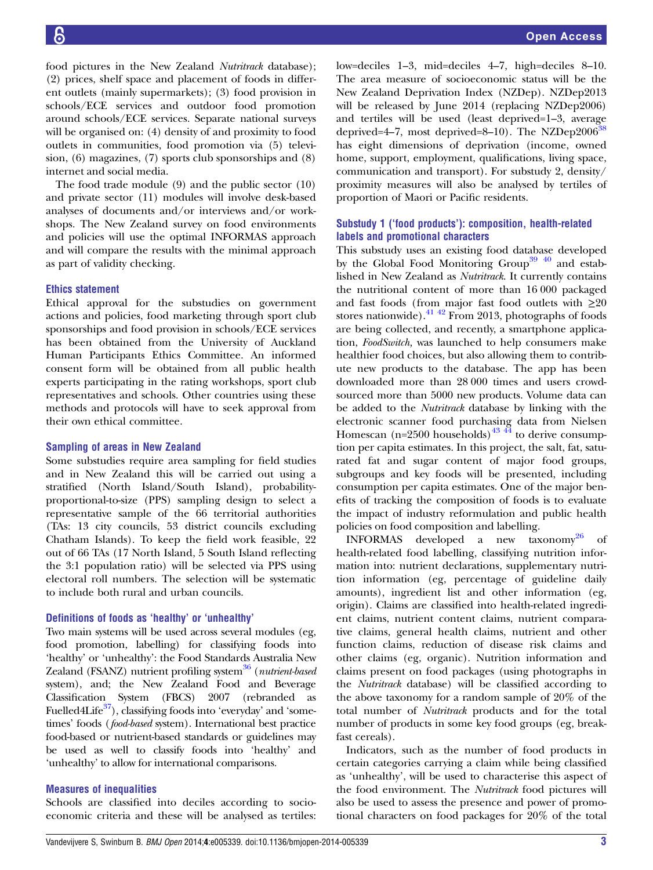food pictures in the New Zealand Nutritrack database); (2) prices, shelf space and placement of foods in different outlets (mainly supermarkets); (3) food provision in schools/ECE services and outdoor food promotion around schools/ECE services. Separate national surveys will be organised on: (4) density of and proximity to food outlets in communities, food promotion via (5) television, (6) magazines, (7) sports club sponsorships and (8) internet and social media.

The food trade module (9) and the public sector (10) and private sector (11) modules will involve desk-based analyses of documents and/or interviews and/or workshops. The New Zealand survey on food environments and policies will use the optimal INFORMAS approach and will compare the results with the minimal approach as part of validity checking.

#### Ethics statement

Ethical approval for the substudies on government actions and policies, food marketing through sport club sponsorships and food provision in schools/ECE services has been obtained from the University of Auckland Human Participants Ethics Committee. An informed consent form will be obtained from all public health experts participating in the rating workshops, sport club representatives and schools. Other countries using these methods and protocols will have to seek approval from their own ethical committee.

#### Sampling of areas in New Zealand

Some substudies require area sampling for field studies and in New Zealand this will be carried out using a stratified (North Island/South Island), probabilityproportional-to-size (PPS) sampling design to select a representative sample of the 66 territorial authorities (TAs: 13 city councils, 53 district councils excluding Chatham Islands). To keep the field work feasible, 22 out of 66 TAs (17 North Island, 5 South Island reflecting the 3:1 population ratio) will be selected via PPS using electoral roll numbers. The selection will be systematic to include both rural and urban councils.

#### Definitions of foods as 'healthy' or 'unhealthy'

Two main systems will be used across several modules (eg, food promotion, labelling) for classifying foods into 'healthy' or 'unhealthy': the Food Standards Australia New Zealand (FSANZ) nutrient profiling system<sup>36</sup> (nutrient-based system), and; the New Zealand Food and Beverage Classification System (FBCS) 2007 (rebranded as Fuelled $4\text{Life}^{37}$ ), classifying foods into 'everyday' and 'sometimes' foods (food-based system). International best practice food-based or nutrient-based standards or guidelines may be used as well to classify foods into 'healthy' and 'unhealthy' to allow for international comparisons.

#### Measures of inequalities

Schools are classified into deciles according to socioeconomic criteria and these will be analysed as tertiles: low=deciles 1–3, mid=deciles 4–7, high=deciles 8–10. The area measure of socioeconomic status will be the New Zealand Deprivation Index (NZDep). NZDep2013 will be released by June 2014 (replacing NZDep2006) and tertiles will be used (least deprived=1–3, average deprived=4–7, most deprived=8–10). The NZDep2006<sup>[38](#page-9-0)</sup> has eight dimensions of deprivation (income, owned home, support, employment, qualifications, living space, communication and transport). For substudy 2, density/ proximity measures will also be analysed by tertiles of proportion of Maori or Pacific residents.

#### Substudy 1 ('food products'): composition, health-related labels and promotional characters

This substudy uses an existing food database developed by the Global Food Monitoring Group<sup>[39 40](#page-9-0)</sup> and established in New Zealand as Nutritrack. It currently contains the nutritional content of more than 16 000 packaged and fast foods (from major fast food outlets with  $\geq 20$ stores nationwide). $41 \frac{42}{2}$  From 2013, photographs of foods are being collected, and recently, a smartphone application, FoodSwitch, was launched to help consumers make healthier food choices, but also allowing them to contribute new products to the database. The app has been downloaded more than 28 000 times and users crowdsourced more than 5000 new products. Volume data can be added to the Nutritrack database by linking with the electronic scanner food purchasing data from Nielsen Homescan (n=2500 households)<sup>43</sup> <sup>44</sup> to derive consumption per capita estimates. In this project, the salt, fat, saturated fat and sugar content of major food groups, subgroups and key foods will be presented, including consumption per capita estimates. One of the major benefits of tracking the composition of foods is to evaluate the impact of industry reformulation and public health policies on food composition and labelling.

INFORMAS developed a new taxonomy<sup>[26](#page-9-0)</sup> of health-related food labelling, classifying nutrition information into: nutrient declarations, supplementary nutrition information (eg, percentage of guideline daily amounts), ingredient list and other information (eg, origin). Claims are classified into health-related ingredient claims, nutrient content claims, nutrient comparative claims, general health claims, nutrient and other function claims, reduction of disease risk claims and other claims (eg, organic). Nutrition information and claims present on food packages (using photographs in the Nutritrack database) will be classified according to the above taxonomy for a random sample of 20% of the total number of Nutritrack products and for the total number of products in some key food groups (eg, breakfast cereals).

Indicators, such as the number of food products in certain categories carrying a claim while being classified as 'unhealthy', will be used to characterise this aspect of the food environment. The Nutritrack food pictures will also be used to assess the presence and power of promotional characters on food packages for 20% of the total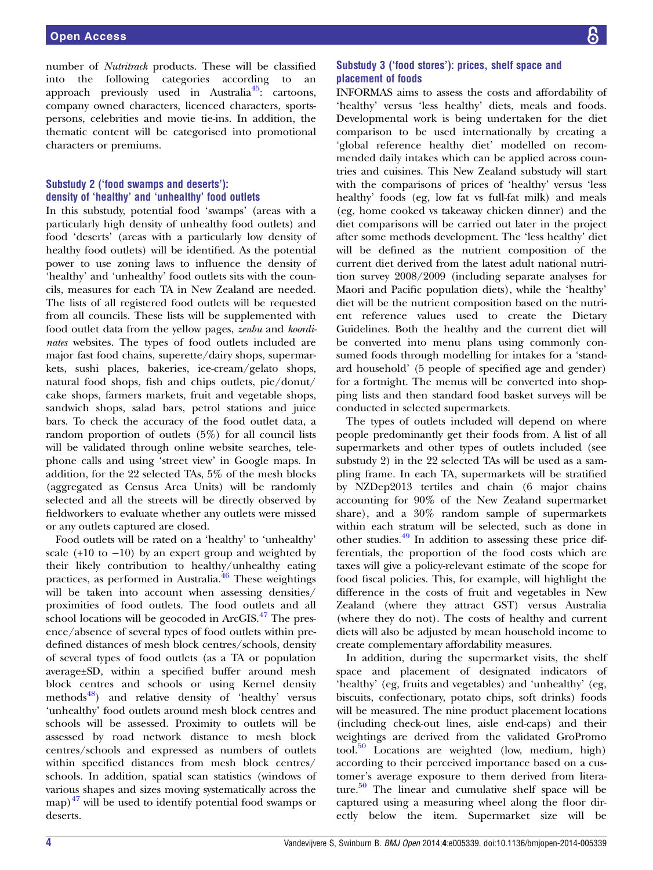number of Nutritrack products. These will be classified into the following categories according to an approach previously used in Australia<sup>45</sup>: cartoons, company owned characters, licenced characters, sportspersons, celebrities and movie tie-ins. In addition, the thematic content will be categorised into promotional characters or premiums.

### Substudy 2 ('food swamps and deserts'): density of 'healthy' and 'unhealthy' food outlets

In this substudy, potential food 'swamps' (areas with a particularly high density of unhealthy food outlets) and food 'deserts' (areas with a particularly low density of healthy food outlets) will be identified. As the potential power to use zoning laws to influence the density of 'healthy' and 'unhealthy' food outlets sits with the councils, measures for each TA in New Zealand are needed. The lists of all registered food outlets will be requested from all councils. These lists will be supplemented with food outlet data from the yellow pages, zenbu and koordinates websites. The types of food outlets included are major fast food chains, superette/dairy shops, supermarkets, sushi places, bakeries, ice-cream/gelato shops, natural food shops, fish and chips outlets, pie/donut/ cake shops, farmers markets, fruit and vegetable shops, sandwich shops, salad bars, petrol stations and juice bars. To check the accuracy of the food outlet data, a random proportion of outlets (5%) for all council lists will be validated through online website searches, telephone calls and using 'street view' in Google maps. In addition, for the 22 selected TAs, 5% of the mesh blocks (aggregated as Census Area Units) will be randomly selected and all the streets will be directly observed by fieldworkers to evaluate whether any outlets were missed or any outlets captured are closed.

Food outlets will be rated on a 'healthy' to 'unhealthy' scale  $(+10 \text{ to } -10)$  by an expert group and weighted by their likely contribution to healthy/unhealthy eating practices, as performed in Australia. $46$  These weightings will be taken into account when assessing densities/ proximities of food outlets. The food outlets and all school locations will be geocoded in  $ArcGIS<sup>47</sup>$  $ArcGIS<sup>47</sup>$  $ArcGIS<sup>47</sup>$ . The presence/absence of several types of food outlets within predefined distances of mesh block centres/schools, density of several types of food outlets (as a TA or population average±SD, within a specified buffer around mesh block centres and schools or using Kernel density methods $48$ ) and relative density of 'healthy' versus 'unhealthy' food outlets around mesh block centres and schools will be assessed. Proximity to outlets will be assessed by road network distance to mesh block centres/schools and expressed as numbers of outlets within specified distances from mesh block centres/ schools. In addition, spatial scan statistics (windows of various shapes and sizes moving systematically across the map) $^{47}$  will be used to identify potential food swamps or deserts.

#### Substudy 3 ('food stores'): prices, shelf space and placement of foods

INFORMAS aims to assess the costs and affordability of 'healthy' versus 'less healthy' diets, meals and foods. Developmental work is being undertaken for the diet comparison to be used internationally by creating a 'global reference healthy diet' modelled on recommended daily intakes which can be applied across countries and cuisines. This New Zealand substudy will start with the comparisons of prices of 'healthy' versus 'less healthy' foods (eg, low fat vs full-fat milk) and meals (eg, home cooked vs takeaway chicken dinner) and the diet comparisons will be carried out later in the project after some methods development. The 'less healthy' diet will be defined as the nutrient composition of the current diet derived from the latest adult national nutrition survey 2008/2009 (including separate analyses for Maori and Pacific population diets), while the 'healthy' diet will be the nutrient composition based on the nutrient reference values used to create the Dietary Guidelines. Both the healthy and the current diet will be converted into menu plans using commonly consumed foods through modelling for intakes for a 'standard household' (5 people of specified age and gender) for a fortnight. The menus will be converted into shopping lists and then standard food basket surveys will be conducted in selected supermarkets.

The types of outlets included will depend on where people predominantly get their foods from. A list of all supermarkets and other types of outlets included (see substudy 2) in the 22 selected TAs will be used as a sampling frame. In each TA, supermarkets will be stratified by NZDep2013 tertiles and chain (6 major chains accounting for 90% of the New Zealand supermarket share), and a 30% random sample of supermarkets within each stratum will be selected, such as done in other studies.[49](#page-9-0) In addition to assessing these price differentials, the proportion of the food costs which are taxes will give a policy-relevant estimate of the scope for food fiscal policies. This, for example, will highlight the difference in the costs of fruit and vegetables in New Zealand (where they attract GST) versus Australia (where they do not). The costs of healthy and current diets will also be adjusted by mean household income to create complementary affordability measures.

In addition, during the supermarket visits, the shelf space and placement of designated indicators of 'healthy' (eg, fruits and vegetables) and 'unhealthy' (eg, biscuits, confectionary, potato chips, soft drinks) foods will be measured. The nine product placement locations (including check-out lines, aisle end-caps) and their weightings are derived from the validated GroPromo tool. $50$  Locations are weighted (low, medium, high) according to their perceived importance based on a customer's average exposure to them derived from literature.[50](#page-9-0) The linear and cumulative shelf space will be captured using a measuring wheel along the floor directly below the item. Supermarket size will be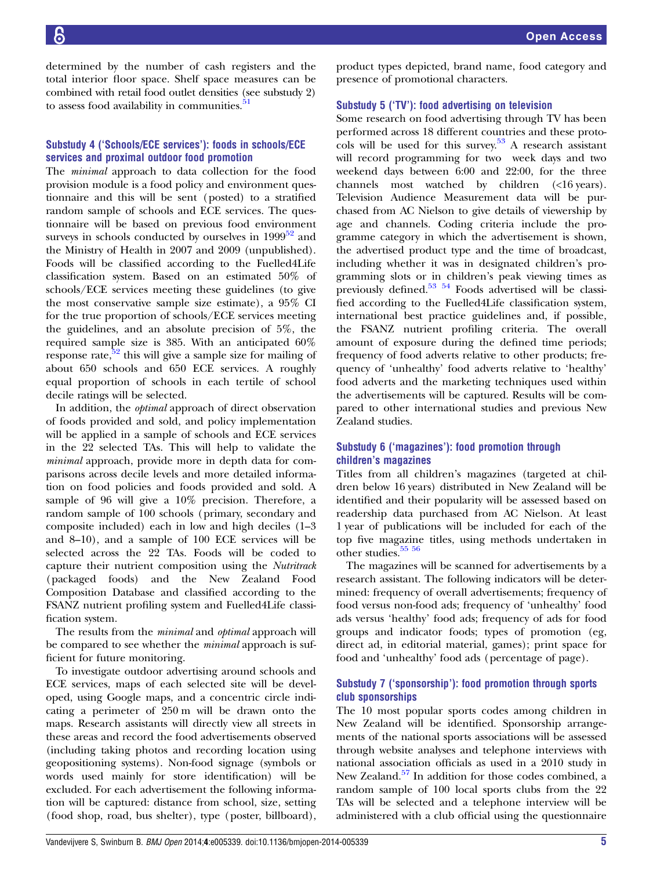determined by the number of cash registers and the total interior floor space. Shelf space measures can be combined with retail food outlet densities (see substudy 2) to assess food availability in communities.<sup>[51](#page-10-0)</sup>

#### Substudy 4 ('Schools/ECE services'): foods in schools/ECE services and proximal outdoor food promotion

The minimal approach to data collection for the food provision module is a food policy and environment questionnaire and this will be sent (posted) to a stratified random sample of schools and ECE services. The questionnaire will be based on previous food environment surveys in schools conducted by ourselves in  $1999^{52}$  $1999^{52}$  $1999^{52}$  and the Ministry of Health in 2007 and 2009 (unpublished). Foods will be classified according to the Fuelled4Life classification system. Based on an estimated 50% of schools/ECE services meeting these guidelines (to give the most conservative sample size estimate), a 95% CI for the true proportion of schools/ECE services meeting the guidelines, and an absolute precision of 5%, the required sample size is 385. With an anticipated 60% response rate, $5^2$  this will give a sample size for mailing of about 650 schools and 650 ECE services. A roughly equal proportion of schools in each tertile of school decile ratings will be selected.

In addition, the optimal approach of direct observation of foods provided and sold, and policy implementation will be applied in a sample of schools and ECE services in the 22 selected TAs. This will help to validate the minimal approach, provide more in depth data for comparisons across decile levels and more detailed information on food policies and foods provided and sold. A sample of 96 will give a 10% precision. Therefore, a random sample of 100 schools (primary, secondary and composite included) each in low and high deciles (1–3 and 8–10), and a sample of 100 ECE services will be selected across the 22 TAs. Foods will be coded to capture their nutrient composition using the Nutritrack (packaged foods) and the New Zealand Food Composition Database and classified according to the FSANZ nutrient profiling system and Fuelled4Life classification system.

The results from the *minimal* and *optimal* approach will be compared to see whether the minimal approach is sufficient for future monitoring.

To investigate outdoor advertising around schools and ECE services, maps of each selected site will be developed, using Google maps, and a concentric circle indicating a perimeter of 250 m will be drawn onto the maps. Research assistants will directly view all streets in these areas and record the food advertisements observed (including taking photos and recording location using geopositioning systems). Non-food signage (symbols or words used mainly for store identification) will be excluded. For each advertisement the following information will be captured: distance from school, size, setting (food shop, road, bus shelter), type (poster, billboard),

product types depicted, brand name, food category and presence of promotional characters.

#### Substudy 5 ('TV'): food advertising on television

Some research on food advertising through TV has been performed across 18 different countries and these proto-cols will be used for this survey.<sup>[53](#page-10-0)</sup> A research assistant will record programming for two week days and two weekend days between 6:00 and 22:00, for the three channels most watched by children (<16 years). Television Audience Measurement data will be purchased from AC Nielson to give details of viewership by age and channels. Coding criteria include the programme category in which the advertisement is shown, the advertised product type and the time of broadcast, including whether it was in designated children's programming slots or in children's peak viewing times as previously defined.<sup>[53 54](#page-10-0)</sup> Foods advertised will be classified according to the Fuelled4Life classification system, international best practice guidelines and, if possible, the FSANZ nutrient profiling criteria. The overall amount of exposure during the defined time periods; frequency of food adverts relative to other products; frequency of 'unhealthy' food adverts relative to 'healthy' food adverts and the marketing techniques used within the advertisements will be captured. Results will be compared to other international studies and previous New Zealand studies.

#### Substudy 6 ('magazines'): food promotion through children's magazines

Titles from all children's magazines (targeted at children below 16 years) distributed in New Zealand will be identified and their popularity will be assessed based on readership data purchased from AC Nielson. At least 1 year of publications will be included for each of the top five magazine titles, using methods undertaken in other studies.<sup>55</sup> 56

The magazines will be scanned for advertisements by a research assistant. The following indicators will be determined: frequency of overall advertisements; frequency of food versus non-food ads; frequency of 'unhealthy' food ads versus 'healthy' food ads; frequency of ads for food groups and indicator foods; types of promotion (eg, direct ad, in editorial material, games); print space for food and 'unhealthy' food ads (percentage of page).

#### Substudy 7 ('sponsorship'): food promotion through sports club sponsorships

The 10 most popular sports codes among children in New Zealand will be identified. Sponsorship arrangements of the national sports associations will be assessed through website analyses and telephone interviews with national association officials as used in a 2010 study in New Zealand.<sup>[57](#page-10-0)</sup> In addition for those codes combined, a random sample of 100 local sports clubs from the 22 TAs will be selected and a telephone interview will be administered with a club official using the questionnaire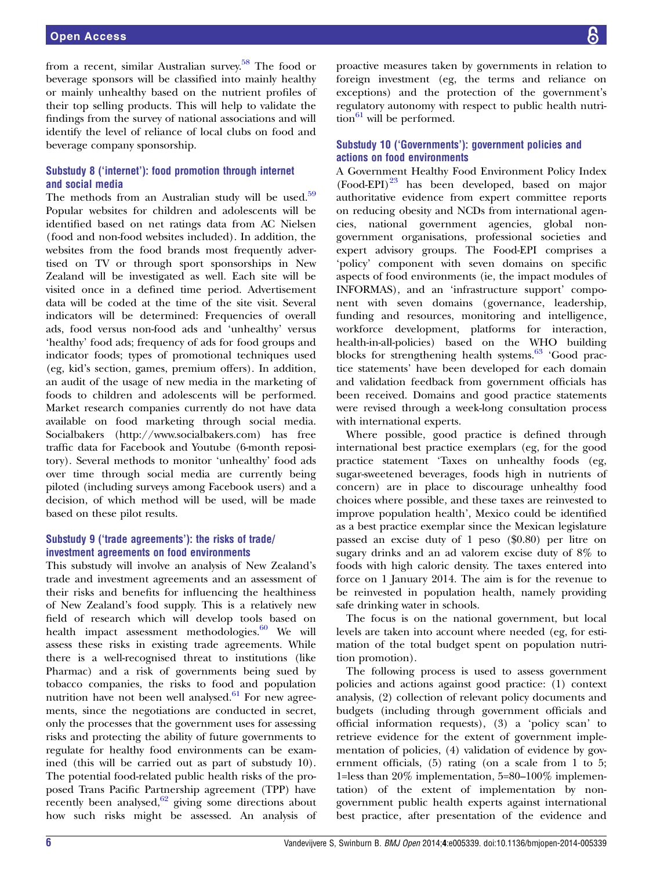from a recent, similar Australian survey.<sup>58</sup> The food or beverage sponsors will be classified into mainly healthy or mainly unhealthy based on the nutrient profiles of their top selling products. This will help to validate the findings from the survey of national associations and will identify the level of reliance of local clubs on food and beverage company sponsorship.

#### Substudy 8 ('internet'): food promotion through internet and social media

The methods from an Australian study will be used.<sup>[59](#page-10-0)</sup> Popular websites for children and adolescents will be identified based on net ratings data from AC Nielsen (food and non-food websites included). In addition, the websites from the food brands most frequently advertised on TV or through sport sponsorships in New Zealand will be investigated as well. Each site will be visited once in a defined time period. Advertisement data will be coded at the time of the site visit. Several indicators will be determined: Frequencies of overall ads, food versus non-food ads and 'unhealthy' versus 'healthy' food ads; frequency of ads for food groups and indicator foods; types of promotional techniques used (eg, kid's section, games, premium offers). In addition, an audit of the usage of new media in the marketing of foods to children and adolescents will be performed. Market research companies currently do not have data available on food marketing through social media. Socialbakers (<http://www.socialbakers.com>) has free traffic data for Facebook and Youtube (6-month repository). Several methods to monitor 'unhealthy' food ads over time through social media are currently being piloted (including surveys among Facebook users) and a decision, of which method will be used, will be made based on these pilot results.

#### Substudy 9 ('trade agreements'): the risks of trade/ investment agreements on food environments

This substudy will involve an analysis of New Zealand's trade and investment agreements and an assessment of their risks and benefits for influencing the healthiness of New Zealand's food supply. This is a relatively new field of research which will develop tools based on health impact assessment methodologies. $60$  We will assess these risks in existing trade agreements. While there is a well-recognised threat to institutions (like Pharmac) and a risk of governments being sued by tobacco companies, the risks to food and population nutrition have not been well analysed. $61$  For new agreements, since the negotiations are conducted in secret, only the processes that the government uses for assessing risks and protecting the ability of future governments to regulate for healthy food environments can be examined (this will be carried out as part of substudy 10). The potential food-related public health risks of the proposed Trans Pacific Partnership agreement (TPP) have recently been analysed, $62$  giving some directions about how such risks might be assessed. An analysis of

proactive measures taken by governments in relation to foreign investment (eg, the terms and reliance on exceptions) and the protection of the government's regulatory autonomy with respect to public health nutri- $\text{tion}^{\mathbf{61}}$  $\text{tion}^{\mathbf{61}}$  $\text{tion}^{\mathbf{61}}$  will be performed.

#### Substudy 10 ('Governments'): government policies and actions on food environments

A Government Healthy Food Environment Policy Index  $(Food-EPI)^{23}$  $(Food-EPI)^{23}$  $(Food-EPI)^{23}$  has been developed, based on major authoritative evidence from expert committee reports on reducing obesity and NCDs from international agencies, national government agencies, global nongovernment organisations, professional societies and expert advisory groups. The Food-EPI comprises a 'policy' component with seven domains on specific aspects of food environments (ie, the impact modules of INFORMAS), and an 'infrastructure support' component with seven domains (governance, leadership, funding and resources, monitoring and intelligence, workforce development, platforms for interaction, health-in-all-policies) based on the WHO building blocks for strengthening health systems. $63$  'Good practice statements' have been developed for each domain and validation feedback from government officials has been received. Domains and good practice statements were revised through a week-long consultation process with international experts.

Where possible, good practice is defined through international best practice exemplars (eg, for the good practice statement 'Taxes on unhealthy foods (eg, sugar-sweetened beverages, foods high in nutrients of concern) are in place to discourage unhealthy food choices where possible, and these taxes are reinvested to improve population health', Mexico could be identified as a best practice exemplar since the Mexican legislature passed an excise duty of 1 peso (\$0.80) per litre on sugary drinks and an ad valorem excise duty of 8% to foods with high caloric density. The taxes entered into force on 1 January 2014. The aim is for the revenue to be reinvested in population health, namely providing safe drinking water in schools.

The focus is on the national government, but local levels are taken into account where needed (eg, for estimation of the total budget spent on population nutrition promotion).

The following process is used to assess government policies and actions against good practice: (1) context analysis, (2) collection of relevant policy documents and budgets (including through government officials and official information requests), (3) a 'policy scan' to retrieve evidence for the extent of government implementation of policies, (4) validation of evidence by government officials, (5) rating (on a scale from 1 to 5; 1=less than 20% implementation, 5=80–100% implementation) of the extent of implementation by nongovernment public health experts against international best practice, after presentation of the evidence and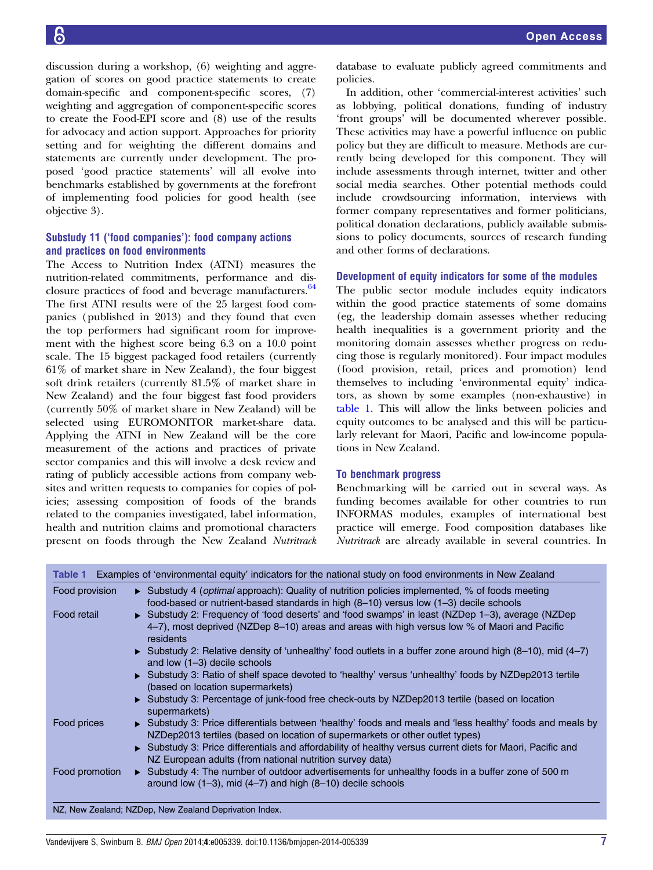discussion during a workshop, (6) weighting and aggregation of scores on good practice statements to create domain-specific and component-specific scores, (7) weighting and aggregation of component-specific scores to create the Food-EPI score and (8) use of the results for advocacy and action support. Approaches for priority setting and for weighting the different domains and statements are currently under development. The proposed 'good practice statements' will all evolve into benchmarks established by governments at the forefront of implementing food policies for good health (see objective 3).

#### Substudy 11 ('food companies'): food company actions and practices on food environments

The Access to Nutrition Index (ATNI) measures the nutrition-related commitments, performance and dis-closure practices of food and beverage manufacturers.<sup>[64](#page-10-0)</sup> The first ATNI results were of the 25 largest food companies (published in 2013) and they found that even the top performers had significant room for improvement with the highest score being 6.3 on a 10.0 point scale. The 15 biggest packaged food retailers (currently 61% of market share in New Zealand), the four biggest soft drink retailers (currently 81.5% of market share in New Zealand) and the four biggest fast food providers (currently 50% of market share in New Zealand) will be selected using EUROMONITOR market-share data. Applying the ATNI in New Zealand will be the core measurement of the actions and practices of private sector companies and this will involve a desk review and rating of publicly accessible actions from company websites and written requests to companies for copies of policies; assessing composition of foods of the brands related to the companies investigated, label information, health and nutrition claims and promotional characters present on foods through the New Zealand Nutritrack

database to evaluate publicly agreed commitments and policies.

In addition, other 'commercial-interest activities' such as lobbying, political donations, funding of industry 'front groups' will be documented wherever possible. These activities may have a powerful influence on public policy but they are difficult to measure. Methods are currently being developed for this component. They will include assessments through internet, twitter and other social media searches. Other potential methods could include crowdsourcing information, interviews with former company representatives and former politicians, political donation declarations, publicly available submissions to policy documents, sources of research funding and other forms of declarations.

#### Development of equity indicators for some of the modules

The public sector module includes equity indicators within the good practice statements of some domains (eg, the leadership domain assesses whether reducing health inequalities is a government priority and the monitoring domain assesses whether progress on reducing those is regularly monitored). Four impact modules ( food provision, retail, prices and promotion) lend themselves to including 'environmental equity' indicators, as shown by some examples (non-exhaustive) in table 1. This will allow the links between policies and equity outcomes to be analysed and this will be particularly relevant for Maori, Pacific and low-income populations in New Zealand.

#### To benchmark progress

Benchmarking will be carried out in several ways. As funding becomes available for other countries to run INFORMAS modules, examples of international best practice will emerge. Food composition databases like Nutritrack are already available in several countries. In

| Examples of 'environmental equity' indicators for the national study on food environments in New Zealand<br>Table 1 |                                                                                                                                                                                                               |
|---------------------------------------------------------------------------------------------------------------------|---------------------------------------------------------------------------------------------------------------------------------------------------------------------------------------------------------------|
| Food provision                                                                                                      | Substudy 4 ( <i>optimal</i> approach): Quality of nutrition policies implemented, $\%$ of foods meeting<br>food-based or nutrient-based standards in high (8-10) versus low (1-3) decile schools              |
| Food retail                                                                                                         | ► Substudy 2: Frequency of 'food deserts' and 'food swamps' in least (NZDep 1–3), average (NZDep<br>4-7), most deprived (NZDep 8-10) areas and areas with high versus low % of Maori and Pacific<br>residents |
|                                                                                                                     | Substudy 2: Relative density of 'unhealthy' food outlets in a buffer zone around high $(8-10)$ , mid $(4-7)$<br>and low $(1-3)$ decile schools                                                                |
|                                                                                                                     | ► Substudy 3: Ratio of shelf space devoted to 'healthy' versus 'unhealthy' foods by NZDep2013 tertile<br>(based on location supermarkets)                                                                     |
|                                                                                                                     | ► Substudy 3: Percentage of junk-food free check-outs by NZDep2013 tertile (based on location<br>supermarkets)                                                                                                |
| Food prices                                                                                                         | ► Substudy 3: Price differentials between 'healthy' foods and meals and 'less healthy' foods and meals by<br>NZDep2013 tertiles (based on location of supermarkets or other outlet types)                     |
|                                                                                                                     | ► Substudy 3: Price differentials and affordability of healthy versus current diets for Maori, Pacific and<br>NZ European adults (from national nutrition survey data)                                        |
| Food promotion                                                                                                      | $\triangleright$ Substudy 4: The number of outdoor advertisements for unhealthy foods in a buffer zone of 500 m<br>around low $(1-3)$ , mid $(4-7)$ and high $(8-10)$ decile schools                          |
|                                                                                                                     | NZ, New Zealand; NZDep, New Zealand Deprivation Index.                                                                                                                                                        |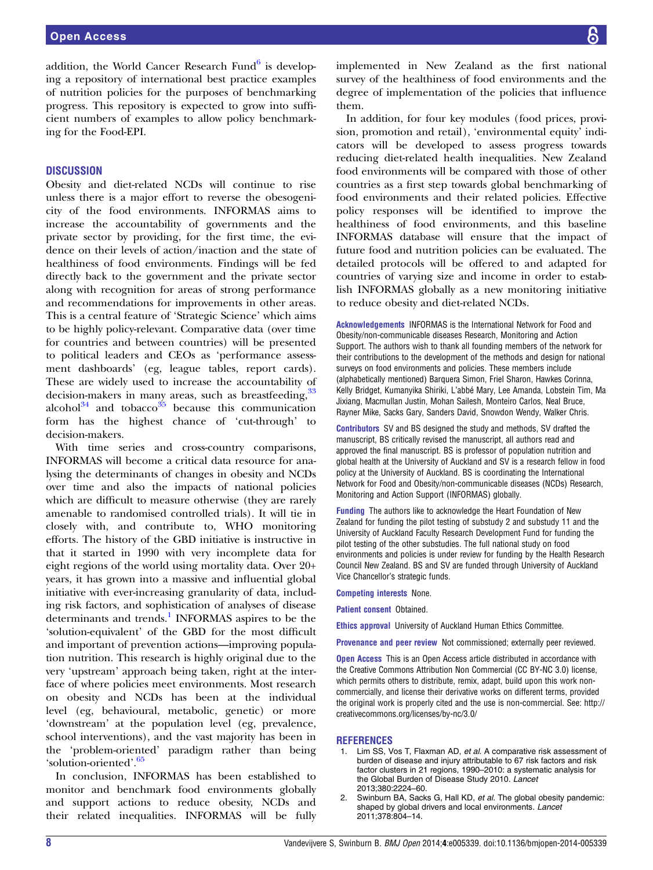<span id="page-8-0"></span>addition, the World Cancer Research Fund<sup>[6](#page-9-0)</sup> is developing a repository of international best practice examples of nutrition policies for the purposes of benchmarking progress. This repository is expected to grow into sufficient numbers of examples to allow policy benchmarking for the Food-EPI.

#### **DISCUSSION**

Obesity and diet-related NCDs will continue to rise unless there is a major effort to reverse the obesogenicity of the food environments. INFORMAS aims to increase the accountability of governments and the private sector by providing, for the first time, the evidence on their levels of action/inaction and the state of healthiness of food environments. Findings will be fed directly back to the government and the private sector along with recognition for areas of strong performance and recommendations for improvements in other areas. This is a central feature of 'Strategic Science' which aims to be highly policy-relevant. Comparative data (over time for countries and between countries) will be presented to political leaders and CEOs as 'performance assessment dashboards' (eg, league tables, report cards). These are widely used to increase the accountability of decision-makers in many areas, such as breastfeeding, <sup>[33](#page-9-0)</sup> alcohol $34$  and tobacco $35$  because this communication form has the highest chance of 'cut-through' to decision-makers.

With time series and cross-country comparisons, INFORMAS will become a critical data resource for analysing the determinants of changes in obesity and NCDs over time and also the impacts of national policies which are difficult to measure otherwise (they are rarely amenable to randomised controlled trials). It will tie in closely with, and contribute to, WHO monitoring efforts. The history of the GBD initiative is instructive in that it started in 1990 with very incomplete data for eight regions of the world using mortality data. Over 20+ years, it has grown into a massive and influential global initiative with ever-increasing granularity of data, including risk factors, and sophistication of analyses of disease determinants and trends.<sup>1</sup> INFORMAS aspires to be the 'solution-equivalent' of the GBD for the most difficult and important of prevention actions—improving population nutrition. This research is highly original due to the very 'upstream' approach being taken, right at the interface of where policies meet environments. Most research on obesity and NCDs has been at the individual level (eg, behavioural, metabolic, genetic) or more 'downstream' at the population level (eg, prevalence, school interventions), and the vast majority has been in the 'problem-oriented' paradigm rather than being 'solution-oriented'. [65](#page-10-0)

In conclusion, INFORMAS has been established to monitor and benchmark food environments globally and support actions to reduce obesity, NCDs and their related inequalities. INFORMAS will be fully

implemented in New Zealand as the first national survey of the healthiness of food environments and the degree of implementation of the policies that influence them.

In addition, for four key modules (food prices, provision, promotion and retail), 'environmental equity' indicators will be developed to assess progress towards reducing diet-related health inequalities. New Zealand food environments will be compared with those of other countries as a first step towards global benchmarking of food environments and their related policies. Effective policy responses will be identified to improve the healthiness of food environments, and this baseline INFORMAS database will ensure that the impact of future food and nutrition policies can be evaluated. The detailed protocols will be offered to and adapted for countries of varying size and income in order to establish INFORMAS globally as a new monitoring initiative to reduce obesity and diet-related NCDs.

Acknowledgements INFORMAS is the International Network for Food and Obesity/non-communicable diseases Research, Monitoring and Action Support. The authors wish to thank all founding members of the network for their contributions to the development of the methods and design for national surveys on food environments and policies. These members include (alphabetically mentioned) Barquera Simon, Friel Sharon, Hawkes Corinna, Kelly Bridget, Kumanyika Shiriki, L'abbé Mary, Lee Amanda, Lobstein Tim, Ma Jixiang, Macmullan Justin, Mohan Sailesh, Monteiro Carlos, Neal Bruce, Rayner Mike, Sacks Gary, Sanders David, Snowdon Wendy, Walker Chris.

Contributors SV and BS designed the study and methods, SV drafted the manuscript, BS critically revised the manuscript, all authors read and approved the final manuscript. BS is professor of population nutrition and global health at the University of Auckland and SV is a research fellow in food policy at the University of Auckland. BS is coordinating the International Network for Food and Obesity/non-communicable diseases (NCDs) Research, Monitoring and Action Support (INFORMAS) globally.

Funding The authors like to acknowledge the Heart Foundation of New Zealand for funding the pilot testing of substudy 2 and substudy 11 and the University of Auckland Faculty Research Development Fund for funding the pilot testing of the other substudies. The full national study on food environments and policies is under review for funding by the Health Research Council New Zealand. BS and SV are funded through University of Auckland Vice Chancellor's strategic funds.

Competing interests None.

Patient consent Obtained.

Ethics approval University of Auckland Human Ethics Committee.

Provenance and peer review Not commissioned; externally peer reviewed.

Open Access This is an Open Access article distributed in accordance with the Creative Commons Attribution Non Commercial (CC BY-NC 3.0) license, which permits others to distribute, remix, adapt, build upon this work noncommercially, and license their derivative works on different terms, provided the original work is properly cited and the use is non-commercial. See: [http://](http://creativecommons.org/licenses/by-nc/3.0/) [creativecommons.org/licenses/by-nc/3.0/](http://creativecommons.org/licenses/by-nc/3.0/)

#### **REFERENCES**

- 1. Lim SS, Vos T, Flaxman AD, et al. A comparative risk assessment of burden of disease and injury attributable to 67 risk factors and risk factor clusters in 21 regions, 1990–2010: a systematic analysis for the Global Burden of Disease Study 2010. Lancet 2013;380:2224–60.
- 2. Swinburn BA, Sacks G, Hall KD, et al. The global obesity pandemic: shaped by global drivers and local environments. Lancet 2011;378:804–14.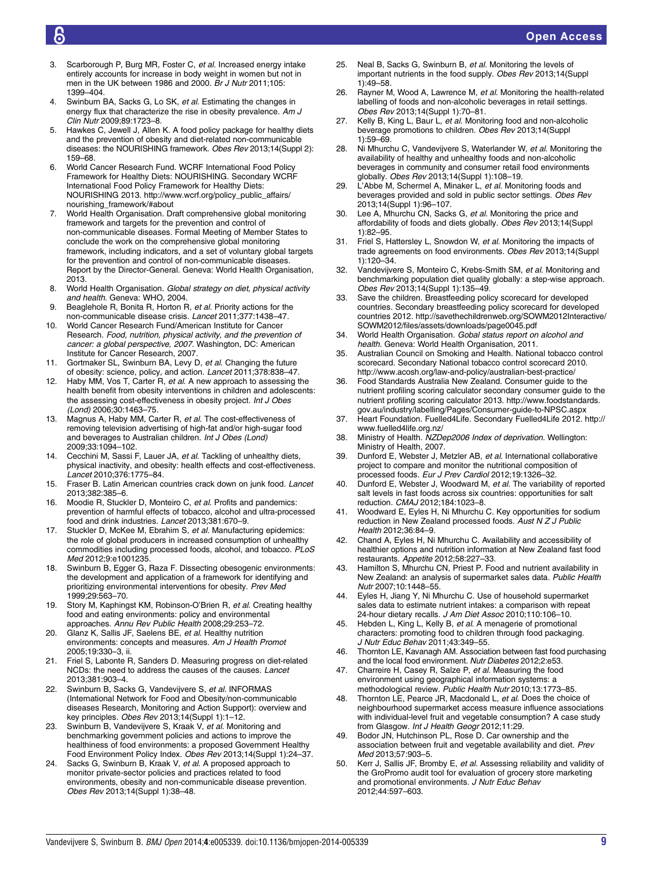- <span id="page-9-0"></span>3. Scarborough P, Burg MR, Foster C, et al. Increased energy intake entirely accounts for increase in body weight in women but not in men in the UK between 1986 and 2000. Br J Nutr 2011;105: 1399–404.
- 4. Swinburn BA, Sacks G, Lo SK, et al. Estimating the changes in energy flux that characterize the rise in obesity prevalence. Am J Clin Nutr 2009;89:1723–8.
- 5. Hawkes C, Jewell J, Allen K. A food policy package for healthy diets and the prevention of obesity and diet-related non-communicable diseases: the NOURISHING framework. Obes Rev 2013;14(Suppl 2): 159–68.
- 6. World Cancer Research Fund. WCRF International Food Policy Framework for Healthy Diets: NOURISHING. Secondary WCRF International Food Policy Framework for Healthy Diets: NOURISHING 2013. [http://www.wcrf.org/policy\\_public\\_affairs/](http://www.wcrf.org/policy_public_affairs/nourishing_framework/#about) [nourishing\\_framework/#about](http://www.wcrf.org/policy_public_affairs/nourishing_framework/#about)
- World Health Organisation. Draft comprehensive global monitoring framework and targets for the prevention and control of non-communicable diseases. Formal Meeting of Member States to conclude the work on the comprehensive global monitoring framework, including indicators, and a set of voluntary global targets for the prevention and control of non-communicable diseases. Report by the Director-General. Geneva: World Health Organisation, 2013.
- 8. World Health Organisation. Global strategy on diet, physical activity and health. Geneva: WHO, 2004.
- 9. Beaglehole R, Bonita R, Horton R, et al. Priority actions for the non-communicable disease crisis. Lancet 2011;377:1438–47. 10. World Cancer Research Fund/American Institute for Cancer
- Research. Food, nutrition, physical activity, and the prevention of cancer: a global perspective, 2007. Washington, DC: American Institute for Cancer Research, 2007.
- 11. Gortmaker SL, Swinburn BA, Levy D, et al. Changing the future of obesity: science, policy, and action. Lancet 2011;378:838–47.
- 12. Haby MM, Vos T, Carter R, et al. A new approach to assessing the health benefit from obesity interventions in children and adolescents: the assessing cost-effectiveness in obesity project. Int J Obes (Lond) 2006;30:1463–75.
- 13. Magnus A, Haby MM, Carter R, et al. The cost-effectiveness of removing television advertising of high-fat and/or high-sugar food and beverages to Australian children. Int J Obes (Lond) 2009;33:1094–102.
- 14. Cecchini M, Sassi F, Lauer JA, et al. Tackling of unhealthy diets, physical inactivity, and obesity: health effects and cost-effectiveness. Lancet 2010;376:1775–84.
- 15. Fraser B. Latin American countries crack down on junk food. Lancet 2013;382:385–6.
- 16. Moodie R, Stuckler D, Monteiro C, et al. Profits and pandemics: prevention of harmful effects of tobacco, alcohol and ultra-processed food and drink industries. Lancet 2013;381:670–9.
- 17. Stuckler D, McKee M, Ebrahim S, et al. Manufacturing epidemics: the role of global producers in increased consumption of unhealthy commodities including processed foods, alcohol, and tobacco. PLoS Med 2012;9:e1001235.
- 18. Swinburn B, Egger G, Raza F. Dissecting obesogenic environments: the development and application of a framework for identifying and prioritizing environmental interventions for obesity. Prev Med 1999;29:563–70.
- 19. Story M, Kaphingst KM, Robinson-O'Brien R, et al. Creating healthy food and eating environments: policy and environmental approaches. Annu Rev Public Health 2008;29:253–72.
- 20. Glanz K, Sallis JF, Saelens BE, et al. Healthy nutrition environments: concepts and measures. Am J Health Promot 2005;19:330–3, ii.
- 21. Friel S, Labonte R, Sanders D. Measuring progress on diet-related NCDs: the need to address the causes of the causes. Lancet 2013;381:903–4.
- 22. Swinburn B, Sacks G, Vandevijvere S, et al. INFORMAS (International Network for Food and Obesity/non-communicable diseases Research, Monitoring and Action Support): overview and key principles. Obes Rev 2013;14(Suppl 1):1–12.
- 23. Swinburn B, Vandevijvere S, Kraak V, et al. Monitoring and benchmarking government policies and actions to improve the healthiness of food environments: a proposed Government Healthy Food Environment Policy Index. Obes Rev 2013;14(Suppl 1):24–37.
- 24. Sacks G, Swinburn B, Kraak V, et al. A proposed approach to monitor private-sector policies and practices related to food environments, obesity and non-communicable disease prevention. Obes Rev 2013;14(Suppl 1):38–48.
- 25. Neal B, Sacks G, Swinburn B, et al. Monitoring the levels of important nutrients in the food supply. Obes Rev 2013;14(Suppl 1):49–58.
- 26. Rayner M, Wood A, Lawrence M, et al. Monitoring the health-related labelling of foods and non-alcoholic beverages in retail settings. Obes Rev 2013;14(Suppl 1):70–81.
- 27. Kelly B, King L, Baur L, et al. Monitoring food and non-alcoholic beverage promotions to children. Obes Rev 2013;14(Suppl 1):59–69.
- 28. Ni Mhurchu C, Vandevijvere S, Waterlander W, et al. Monitoring the availability of healthy and unhealthy foods and non-alcoholic beverages in community and consumer retail food environments globally. Obes Rev 2013;14(Suppl 1):108–19.
- 29. L'Abbe M, Schermel A, Minaker L, et al. Monitoring foods and beverages provided and sold in public sector settings. Obes Rev 2013;14(Suppl 1):96–107.
- 30. Lee A, Mhurchu CN, Sacks G, et al. Monitoring the price and affordability of foods and diets globally. Obes Rev 2013;14(Suppl 1):82–95.
- 31. Friel S, Hattersley L, Snowdon W, et al. Monitoring the impacts of trade agreements on food environments. Obes Rev 2013;14(Suppl 1):120–34.
- 32. Vandevijvere S, Monteiro C, Krebs-Smith SM, et al. Monitoring and benchmarking population diet quality globally: a step-wise approach. Obes Rev 2013;14(Suppl 1):135–49.
- 33. Save the children. Breastfeeding policy scorecard for developed countries. Secondary breastfeeding policy scorecard for developed countries 2012. [http://savethechildrenweb.org/SOWM2012Interactive/](http://savethechildrenweb.org/SOWM2012Interactive/SOWM2012/files/assets/downloads/page0045.pdf) [SOWM2012/files/assets/downloads/page0045.pdf](http://savethechildrenweb.org/SOWM2012Interactive/SOWM2012/files/assets/downloads/page0045.pdf)
- 34. World Health Organisation. Gobal status report on alcohol and health. Geneva: World Health Organisation, 2011.
- 35. Australian Council on Smoking and Health. National tobacco control scorecard. Secondary National tobacco control scorecard 2010. <http://www.acosh.org/law-and-policy/australian-best-practice/>
- 36. Food Standards Australia New Zealand. Consumer guide to the nutrient profiling scoring calculator secondary consumer guide to the nutrient profiling scoring calculator 2013. [http://www.foodstandards.](http://www.foodstandards.gov.au/industry/labelling/Pages/Consumer-guide-to-NPSC.aspx) [gov.au/industry/labelling/Pages/Consumer-guide-to-NPSC.aspx](http://www.foodstandards.gov.au/industry/labelling/Pages/Consumer-guide-to-NPSC.aspx)
- 37. Heart Foundation. Fuelled4Life. Secondary Fuelled4Life 2012. [http://](http://www.fuelled4life.org.nz/) [www.fuelled4life.org.nz/](http://www.fuelled4life.org.nz/)
- 38. Ministry of Health. NZDep2006 Index of deprivation. Wellington: Ministry of Health, 2007.
- 39. Dunford E, Webster J, Metzler AB, et al. International collaborative project to compare and monitor the nutritional composition of processed foods. Eur J Prev Cardiol 2012;19:1326–32.
- Dunford E, Webster J, Woodward M, et al. The variability of reported salt levels in fast foods across six countries: opportunities for salt reduction. CMAJ 2012;184:1023–8.
- 41. Woodward E, Eyles H, Ni Mhurchu C. Key opportunities for sodium reduction in New Zealand processed foods. Aust N Z J Public Health 2012;36:84–9.
- 42. Chand A, Eyles H, Ni Mhurchu C. Availability and accessibility of healthier options and nutrition information at New Zealand fast food restaurants. Appetite 2012;58:227–33.
- 43. Hamilton S, Mhurchu CN, Priest P. Food and nutrient availability in New Zealand: an analysis of supermarket sales data. Public Health Nutr 2007;10:1448–55.
- 44. Eyles H, Jiang Y, Ni Mhurchu C. Use of household supermarket sales data to estimate nutrient intakes: a comparison with repeat 24-hour dietary recalls. J Am Diet Assoc 2010;110:106-10.
- 45. Hebden L, King L, Kelly B, et al. A menagerie of promotional characters: promoting food to children through food packaging. J Nutr Educ Behav 2011;43:349–55.
- 46. Thornton LE, Kavanagh AM. Association between fast food purchasing and the local food environment. Nutr Diabetes 2012;2:e53.
- 47. Charreire H, Casey R, Salze P, et al. Measuring the food environment using geographical information systems: a methodological review. Public Health Nutr 2010;13:1773–85.
- 48. Thornton LE, Pearce JR, Macdonald L, et al. Does the choice of neighbourhood supermarket access measure influence associations with individual-level fruit and vegetable consumption? A case study from Glasgow. Int J Health Geogr 2012;11:29.
- Bodor JN, Hutchinson PL, Rose D. Car ownership and the association between fruit and vegetable availability and diet. Prev Med 2013;57:903–5.
- 50. Kerr J, Sallis JF, Bromby E, et al. Assessing reliability and validity of the GroPromo audit tool for evaluation of grocery store marketing and promotional environments. J Nutr Educ Behav 2012;44:597–603.